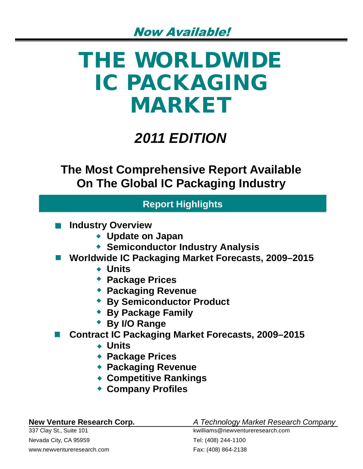# **THE WORLDWIDE IC PACKAGING MARKET**

## *2011 EDITION*

**The Most Comprehensive Report Available On The Global IC Packaging Industry**

## **Report Highlights**

- **Industry Overview**
	- **Update on Japan**
	- **Semiconductor Industry Analysis**
- Worldwide IC Packaging Market Forecasts, 2009–2015
	- **Units**
	- **Package Prices**
	- **Packaging Revenue**
	- **By Semiconductor Product**
	- **By Package Family**
	- **By I/O Range**
- Contract IC Packaging Market Forecasts, 2009–2015
	- **Units**
	- **Package Prices**
	- **Packaging Revenue**
	- **Competitive Rankings**
	- **Company Profiles**

| <b>New Venture Research Corp.</b> |  |  |  |  |  |
|-----------------------------------|--|--|--|--|--|
|-----------------------------------|--|--|--|--|--|

**New Venture Research Corp.** *A Technology Market Research Company*

Nevada City, CA 95959 Tel: (408) 244-1100 www.newventureresearch.com Fax: (408) 864-2138

337 Clay St., Suite 101 **Kathler St., Suite 101** kwilliams@newventureresearch.com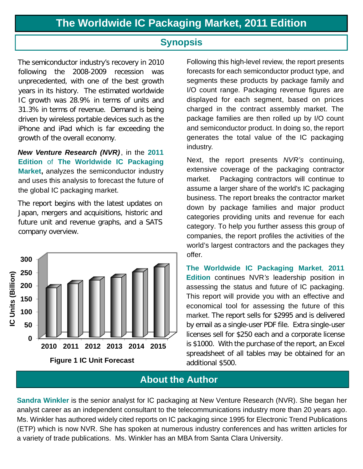## **Synopsis**

The semiconductor industry's recovery in 2010 following the 2008-2009 recession was unprecedented, with one of the best growth years in its history. The estimated worldwide IC growth was 28.9% in terms of units and 31.3% in terms of revenue. Demand is being driven by wireless portable devices such as the iPhone and iPad which is far exceeding the growth of the overall economy.

*New Venture Research (NVR)* , in the **2011 Edition** of **The Worldwide IC Packaging Market,** analyzes the semiconductor industry and uses this analysis to forecast the future of the global IC packaging market.

The report begins with the latest updates on Japan, mergers and acquisitions, historic and future unit and revenue graphs, and a SATS company overview.



Following this high-level review, the report presents forecasts for each semiconductor product type, and segments these products by package family and I/O count range. Packaging revenue figures are displayed for each segment, based on prices charged in the contract assembly market. The package families are then rolled up by I/O count and semiconductor product. In doing so, the report generates the total value of the IC packaging industry.

Next, the report presents *NVR's* continuing, extensive coverage of the packaging contractor market. Packaging contractors will continue to assume a larger share of the world's IC packaging business. The report breaks the contractor market down by package families and major product categories providing units and revenue for each category. To help you further assess this group of companies, the report profiles the activities of the world's largest contractors and the packages they offer.

**The Worldwide IC Packaging Market**, **2011 Edition** continues NVR*'s* leadership position in assessing the status and future of IC packaging. This report will provide you with an effective and economical tool for assessing the future of this market. The report sells for \$2995 and is delivered by email as a single-user PDF file. Extra single-user licenses sell for \$250 each and a corporate license is \$1000. With the purchase of the report, an Excel spreadsheet of all tables may be obtained for an additional \$500.

## **About the Author**

**Sandra Winkler** is the senior analyst for IC packaging at New Venture Research (NVR). She began her analyst career as an independent consultant to the telecommunications industry more than 20 years ago. Ms. Winkler has authored widely cited reports on IC packaging since 1995 for Electronic Trend Publications (ETP) which is now NVR. She has spoken at numerous industry conferences and has written articles for a variety of trade publications. Ms. Winkler has an MBA from Santa Clara University.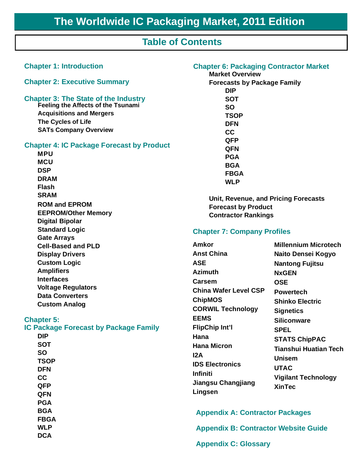## **Table of Contents**

| <b>Chapter 1: Introduction</b>                                                                                                                                                                                                                                                                                                                                                                                                                                                 |
|--------------------------------------------------------------------------------------------------------------------------------------------------------------------------------------------------------------------------------------------------------------------------------------------------------------------------------------------------------------------------------------------------------------------------------------------------------------------------------|
| <b>Chapter 2: Executive Summary</b>                                                                                                                                                                                                                                                                                                                                                                                                                                            |
| <b>Chapter 3: The State of the Industry</b><br>Feeling the Affects of the Tsunami<br><b>Acquisitions and Mergers</b><br>The Cycles of Life<br><b>SATs Company Overview</b>                                                                                                                                                                                                                                                                                                     |
| <b>Chapter 4: IC Package Forecast by Product</b><br><b>MPU</b><br><b>MCU</b><br><b>DSP</b><br><b>DRAM</b><br><b>Flash</b><br><b>SRAM</b><br><b>ROM and EPROM</b><br><b>EEPROM/Other Memory</b><br><b>Digital Bipolar</b><br><b>Standard Logic</b><br><b>Gate Arrays</b><br><b>Cell-Based and PLD</b><br><b>Display Drivers</b><br><b>Custom Logic</b><br><b>Amplifiers</b><br><b>Interfaces</b><br><b>Voltage Regulators</b><br><b>Data Converters</b><br><b>Custom Analog</b> |
| <b>Chapter 5:</b><br><b>IC Package Forecast by Package Family</b><br>DIP<br>SOT<br>SO<br><b>TSOP</b><br><b>DFN</b><br>cc<br>QFP<br>QFN<br><b>PGA</b><br><b>BGA</b><br><b>FBGA</b><br><b>WLP</b><br><b>DCA</b>                                                                                                                                                                                                                                                                  |

#### **Chapter 6: Packaging Contractor Market**

**Market Overview Forecasts by Package Family DIP SOT SO TSOP DFN CC QFP QFN PGA BGA FBGA WLP**

**Unit, Revenue, and Pricing Forecasts Forecast by Product Contractor Rankings**

#### **Chapter 7: Company Profiles**

 **Millennium Microtech Naito Densei Kogyo Nantong Fujitsu NxGEN OSE Powertech Shinko Electric Signetics Siliconware SPEL STATS ChipPAC Tianshui Huatian Tech Unisem UTAC Vigilant Technology XinTec Amkor Anst China ASE Azimuth Carsem China Wafer Level CSP ChipMOS CORWIL Technology EEMS FlipChip Int'l Hana Hana Micron I2A IDS Electronics Infiniti Jiangsu Changjiang Lingsen**

**Appendix A: Contractor Packages**

**Appendix B: Contractor Website Guide**

**Appendix C: Glossary**